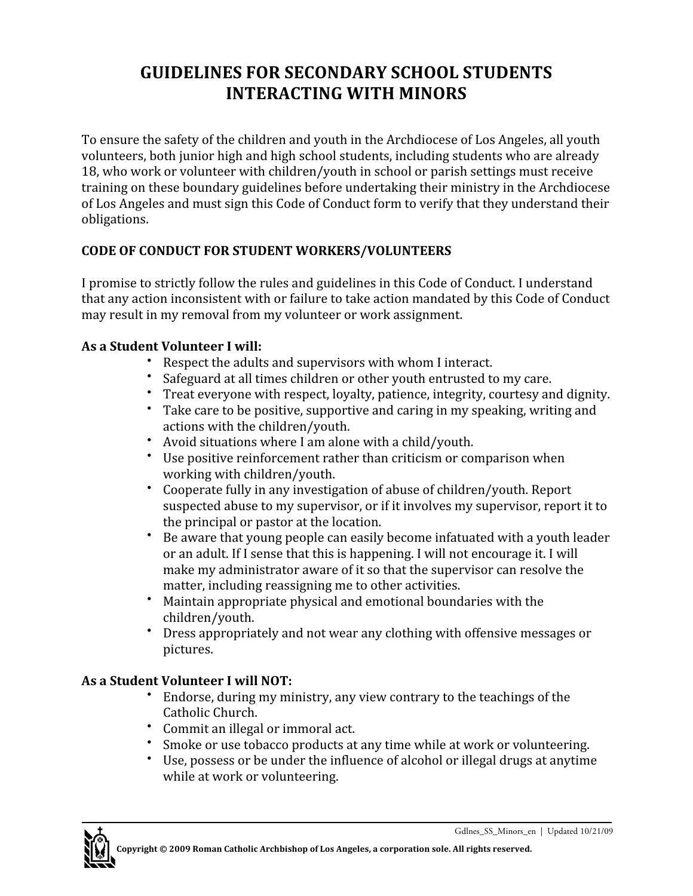## **GUIDELINES FOR SECONDARY SCHOOL STUDENTS INTERACTING WITH MINORS**

To ensure the safety of the children and youth in the Archdiocese of Los Angeles, all youth volunteers, both junior high and high school students, including students who are already 18, who work or volunteer with children/youth in school or parish settings must receive training on these boundary guidelines before undertaking their ministry in the Archdiocese of Los Angeles and must sign this Code of Conduct form to verify that they understand their obligations.

## **CODE OF CONDUCT FOR STUDENT WORKERS/VOLUNTEERS**

I promise to strictly follow the rules and guidelines in this Code of Conduct. I understand that any action inconsistent with or failure to take action mandated by this Code of Conduct may result in my removal from my volunteer or work assignment.

## **As a Student Volunteer I will:**

- Respect the adults and supervisors with whom I interact.
- Safeguard at all times children or other youth entrusted to my care.<br>• Treat everyone with respect lovalty patience integrity courtesy an
- Treat everyone with respect, loyalty, patience, integrity, courtesy and dignity.
- Take care to be positive, supportive and caring in my speaking, writing and actions with the children/youth.
- Avoid situations where I am alone with a child/youth.
- Use positive reinforcement rather than criticism or comparison when working with children/youth.
- Cooperate fully in any investigation of abuse of children/youth. Report suspected abuse to my supervisor, or if it involves my supervisor, report it to the principal or pastor at the location.
- Be aware that young people can easily become infatuated with a youth leader or an adult. If I sense that this is happening. I will not encourage it. I will make my administrator aware of it so that the supervisor can resolve the matter, including reassigning me to other activities.
- Maintain appropriate physical and emotional boundaries with the children/youth.
- Dress appropriately and not wear any clothing with offensive messages or pictures.

## **As a Student Volunteer I will NOT:**

- Endorse, during my ministry, any view contrary to the teachings of the Catholic Church.
- Commit an illegal or immoral act.
- Smoke or use tobacco products at any time while at work or volunteering.
- Use, possess or be under the influence of alcohol or illegal drugs at anytime while at work or volunteering.



Gdlnes\_SS\_Minors\_en | Updated 10/21/09